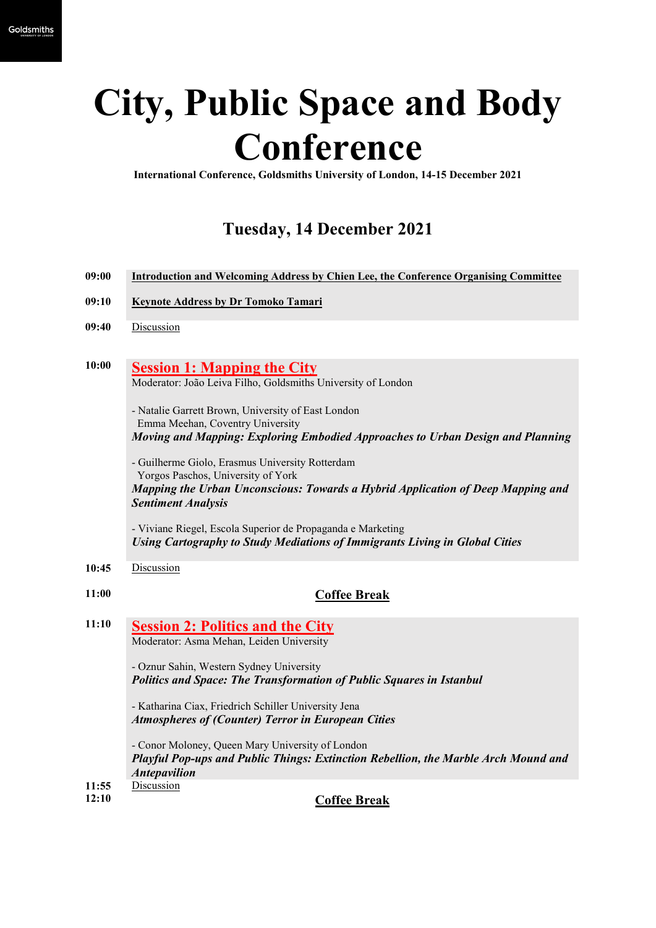# **City, Public Space and Body Conference**

**International Conference, Goldsmiths University of London, 14-15 December 2021**

# **Tuesday, 14 December 2021**

| 09:00 | Introduction and Welcoming Address by Chien Lee, the Conference Organising Committee |  |  |  |
|-------|--------------------------------------------------------------------------------------|--|--|--|
|       |                                                                                      |  |  |  |

- **09:10 Keynote Address by Dr Tomoko Tamari**
- **09:40** Discussion
- **10:00 Session 1: Mapping the City** Moderator: João Leiva Filho, Goldsmiths University of London

- Natalie Garrett Brown, University of East London Emma Meehan, Coventry University *Moving and Mapping: Exploring Embodied Approaches to Urban Design and Planning* 

- Guilherme Giolo, Erasmus University Rotterdam Yorgos Paschos, University of York *Mapping the Urban Unconscious: Towards a Hybrid Application of Deep Mapping and Sentiment Analysis* 

- Viviane Riegel, Escola Superior de Propaganda e Marketing *Using Cartography to Study Mediations of Immigrants Living in Global Cities*

#### **10:45** Discussion

#### **11:00 Coffee Break**

**11:10 Session 2: Politics and the City** Moderator: Asma Mehan, Leiden University

> - Oznur Sahin, Western Sydney University *Politics and Space: The Transformation of Public Squares in Istanbul*

- Katharina Ciax, Friedrich Schiller University Jena *Atmospheres of (Counter) Terror in European Cities*

- Conor Moloney, Queen Mary University of London *Playful Pop-ups and Public Things: Extinction Rebellion, the Marble Arch Mound and Antepavilion* **11:55** Discussion

- 
- **12:10 Coffee Break**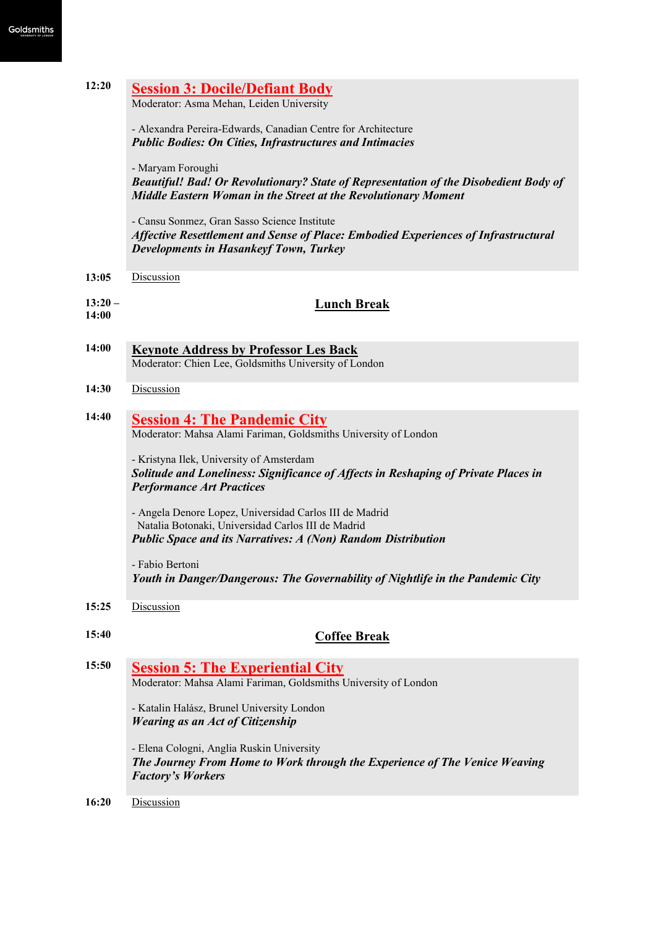| 12:20              | <b>Session 3: Docile/Defiant Body</b><br>Moderator: Asma Mehan, Leiden University                                                                                                    |  |  |  |  |
|--------------------|--------------------------------------------------------------------------------------------------------------------------------------------------------------------------------------|--|--|--|--|
|                    | - Alexandra Pereira-Edwards, Canadian Centre for Architecture<br><b>Public Bodies: On Cities, Infrastructures and Intimacies</b>                                                     |  |  |  |  |
|                    | - Maryam Foroughi<br>Beautiful! Bad! Or Revolutionary? State of Representation of the Disobedient Body of<br>Middle Eastern Woman in the Street at the Revolutionary Moment          |  |  |  |  |
|                    | - Cansu Sonmez, Gran Sasso Science Institute<br>Affective Resettlement and Sense of Place: Embodied Experiences of Infrastructural<br><b>Developments in Hasankeyf Town, Turkey</b>  |  |  |  |  |
| 13:05              | Discussion                                                                                                                                                                           |  |  |  |  |
| $13:20 -$<br>14:00 | <b>Lunch Break</b>                                                                                                                                                                   |  |  |  |  |
| 14:00              | <b>Keynote Address by Professor Les Back</b><br>Moderator: Chien Lee, Goldsmiths University of London                                                                                |  |  |  |  |
| 14:30              | Discussion                                                                                                                                                                           |  |  |  |  |
| 14:40              | <b>Session 4: The Pandemic City</b><br>Moderator: Mahsa Alami Fariman, Goldsmiths University of London                                                                               |  |  |  |  |
|                    | - Kristyna Ilek, University of Amsterdam<br>Solitude and Loneliness: Significance of Affects in Reshaping of Private Places in<br><b>Performance Art Practices</b>                   |  |  |  |  |
|                    | - Angela Denore Lopez, Universidad Carlos III de Madrid<br>Natalia Botonaki, Universidad Carlos III de Madrid<br><b>Public Space and its Narratives: A (Non) Random Distribution</b> |  |  |  |  |
|                    | - Fabio Bertoni<br>Youth in Danger/Dangerous: The Governability of Nightlife in the Pandemic City                                                                                    |  |  |  |  |
| 15:25              | Discussion                                                                                                                                                                           |  |  |  |  |
| 15:40              | <b>Coffee Break</b>                                                                                                                                                                  |  |  |  |  |
| 15:50              | <b>Session 5: The Experiential City</b><br>Moderator: Mahsa Alami Fariman, Goldsmiths University of London                                                                           |  |  |  |  |
|                    | - Katalin Halász, Brunel University London<br><b>Wearing as an Act of Citizenship</b>                                                                                                |  |  |  |  |
|                    | - Elena Cologni, Anglia Ruskin University<br>The Journey From Home to Work through the Experience of The Venice Weaving<br><b>Factory's Workers</b>                                  |  |  |  |  |
| 16:20              | Discussion                                                                                                                                                                           |  |  |  |  |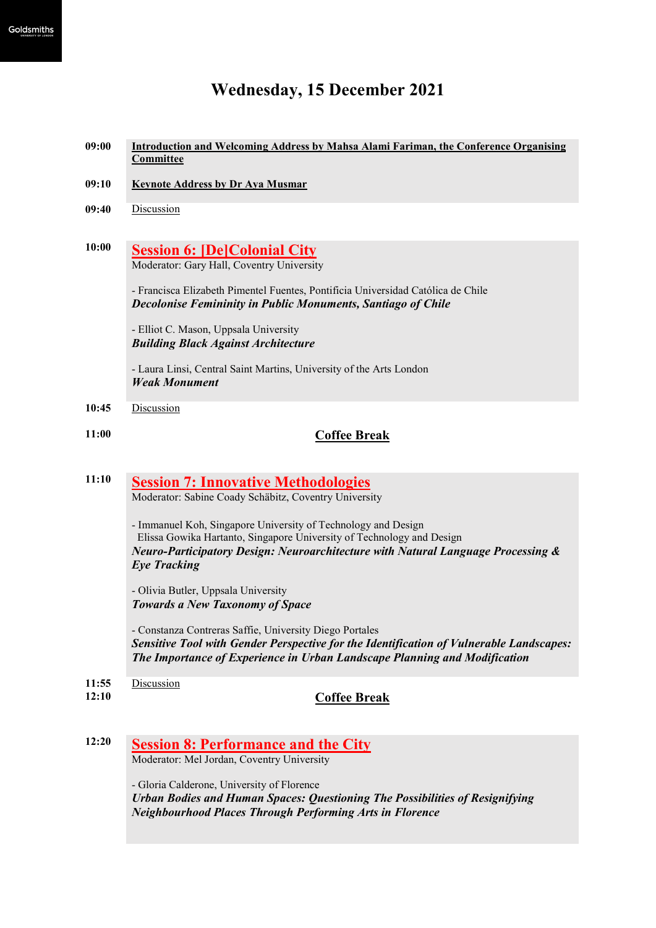## **Wednesday, 15 December 2021**

- **09:00 Introduction and Welcoming Address by Mahsa Alami Fariman, the Conference Organising Committee**
- **09:10 Keynote Address by Dr Aya Musmar**
- **09:40** Discussion
- **10:00 Session 6: [De]Colonial City** Moderator: Gary Hall, Coventry University

- Francisca Elizabeth Pimentel Fuentes, Pontificia Universidad Católica de Chile *Decolonise Femininity in Public Monuments, Santiago of Chile*

- Elliot C. Mason, Uppsala University *Building Black Against Architecture*

- Laura Linsi, Central Saint Martins, University of the Arts London *Weak Monument*

- **10:45** Discussion
- 

### **11:00 Coffee Break**

## **11:10 Session 7: Innovative Methodologies**

Moderator: Sabine Coady Schäbitz, Coventry University

- Immanuel Koh, Singapore University of Technology and Design Elissa Gowika Hartanto, Singapore University of Technology and Design *Neuro-Participatory Design: Neuroarchitecture with Natural Language Processing & Eye Tracking*

- Olivia Butler, Uppsala University *Towards a New Taxonomy of Space*

- Constanza Contreras Saffie, University Diego Portales *Sensitive Tool with Gender Perspective for the Identification of Vulnerable Landscapes: The Importance of Experience in Urban Landscape Planning and Modification*

- **11:55** Discussion
- 

**12:10 Coffee Break**

**12:20 Session 8: Performance and the City**  Moderator: Mel Jordan, Coventry University

> - Gloria Calderone, University of Florence *Urban Bodies and Human Spaces: Questioning The Possibilities of Resignifying Neighbourhood Places Through Performing Arts in Florence*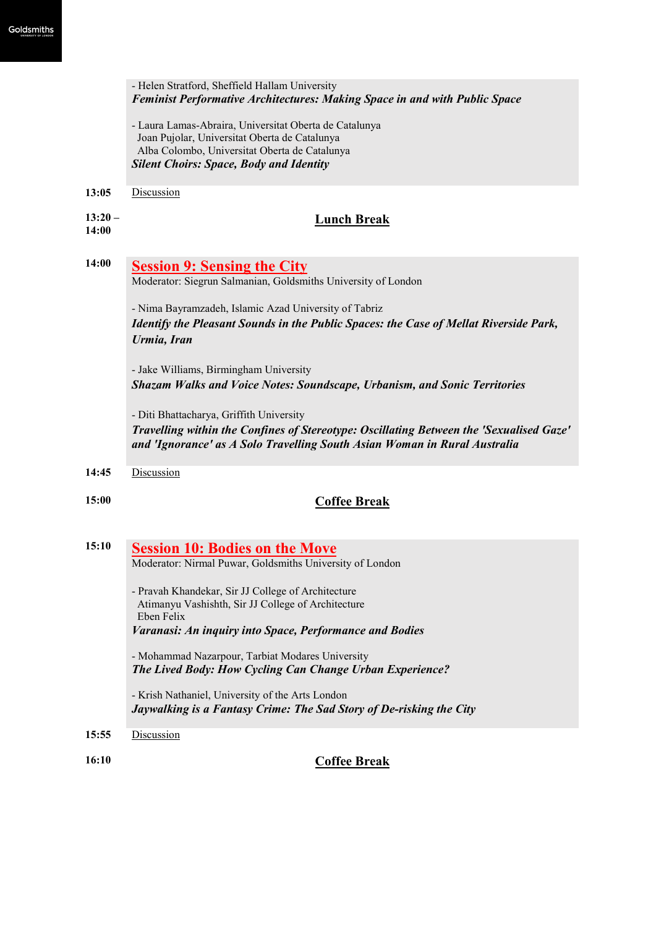|                    | - Helen Stratford, Sheffield Hallam University<br>Feminist Performative Architectures: Making Space in and with Public Space                                                                                     |  |  |  |  |  |  |
|--------------------|------------------------------------------------------------------------------------------------------------------------------------------------------------------------------------------------------------------|--|--|--|--|--|--|
|                    | - Laura Lamas-Abraira, Universitat Oberta de Catalunya<br>Joan Pujolar, Universitat Oberta de Catalunya<br>Alba Colombo, Universitat Oberta de Catalunya                                                         |  |  |  |  |  |  |
|                    | <b>Silent Choirs: Space, Body and Identity</b>                                                                                                                                                                   |  |  |  |  |  |  |
| 13:05              | Discussion                                                                                                                                                                                                       |  |  |  |  |  |  |
| $13:20 -$<br>14:00 | <b>Lunch Break</b>                                                                                                                                                                                               |  |  |  |  |  |  |
| 14:00              | <b>Session 9: Sensing the City</b><br>Moderator: Siegrun Salmanian, Goldsmiths University of London                                                                                                              |  |  |  |  |  |  |
|                    | - Nima Bayramzadeh, Islamic Azad University of Tabriz                                                                                                                                                            |  |  |  |  |  |  |
|                    | Identify the Pleasant Sounds in the Public Spaces: the Case of Mellat Riverside Park,<br>Urmia, Iran                                                                                                             |  |  |  |  |  |  |
|                    | - Jake Williams, Birmingham University<br><b>Shazam Walks and Voice Notes: Soundscape, Urbanism, and Sonic Territories</b>                                                                                       |  |  |  |  |  |  |
|                    | - Diti Bhattacharya, Griffith University<br>Travelling within the Confines of Stereotype: Oscillating Between the 'Sexualised Gaze'<br>and 'Ignorance' as A Solo Travelling South Asian Woman in Rural Australia |  |  |  |  |  |  |
| 14:45              | Discussion                                                                                                                                                                                                       |  |  |  |  |  |  |
| 15:00              | <b>Coffee Break</b>                                                                                                                                                                                              |  |  |  |  |  |  |
| 15:10              | <b>Session 10: Bodies on the Move</b>                                                                                                                                                                            |  |  |  |  |  |  |
|                    | Moderator: Nirmal Puwar, Goldsmiths University of London                                                                                                                                                         |  |  |  |  |  |  |
|                    | - Pravah Khandekar, Sir JJ College of Architecture<br>Atimanyu Vashishth, Sir JJ College of Architecture<br>Eben Felix                                                                                           |  |  |  |  |  |  |
|                    | <b>Varanasi: An inquiry into Space, Performance and Bodies</b>                                                                                                                                                   |  |  |  |  |  |  |
|                    | - Mohammad Nazarpour, Tarbiat Modares University<br>The Lived Body: How Cycling Can Change Urban Experience?                                                                                                     |  |  |  |  |  |  |
|                    | - Krish Nathaniel, University of the Arts London<br>Jaywalking is a Fantasy Crime: The Sad Story of De-risking the City                                                                                          |  |  |  |  |  |  |

**15:55** Discussion

**16:10 Coffee Break**